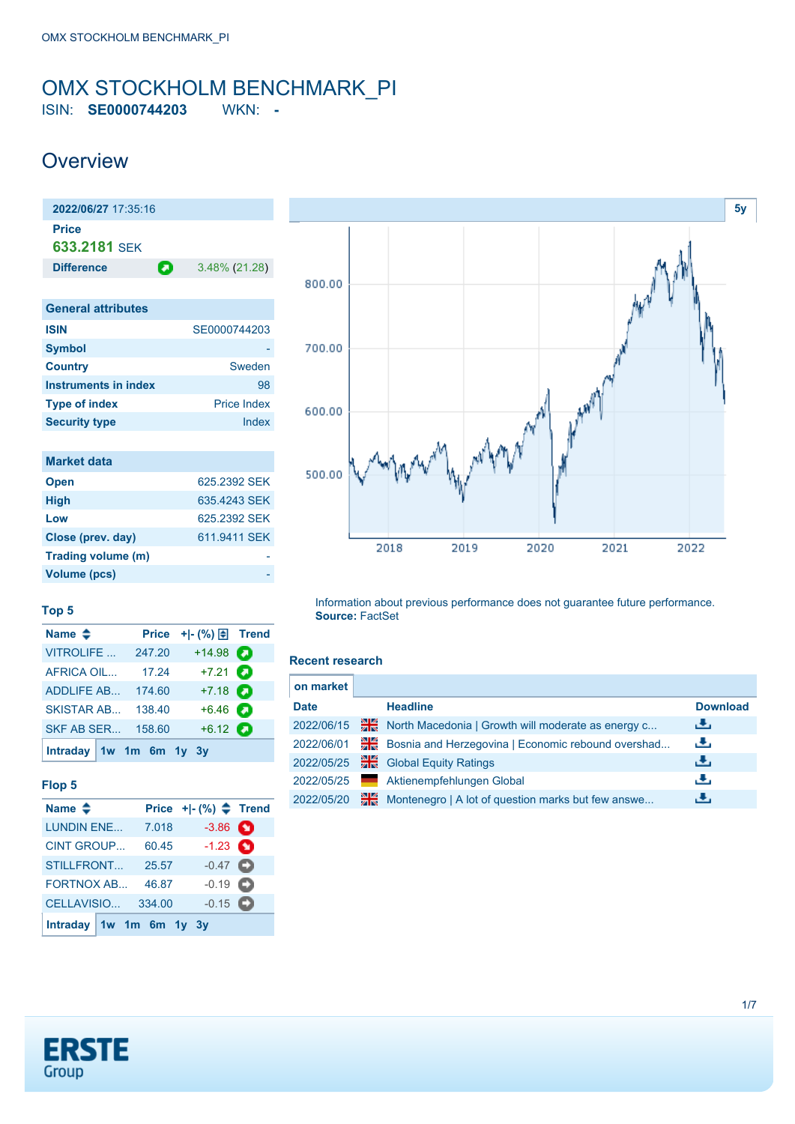# <span id="page-0-0"></span>OMX STOCKHOLM BENCHMARK\_PI

ISIN: **SE0000744203** WKN: **-**

### **Overview**



| $\mathbf{v}$ , $\mathbf{v}$ |                    |
|-----------------------------|--------------------|
| <b>Country</b>              | Sweden             |
| Instruments in index        | 98                 |
| <b>Type of index</b>        | <b>Price Index</b> |
| <b>Security type</b>        | Index              |

| <b>Market data</b> |              |
|--------------------|--------------|
| <b>Open</b>        | 625.2392 SEK |
| <b>High</b>        | 635.4243 SEK |
| Low                | 625.2392 SEK |
| Close (prev. day)  | 611.9411 SEK |
| Trading volume (m) |              |
| Volume (pcs)       |              |



#### **Top 5**

| Name $\triangleq$         | <b>Price</b> |                   |  |
|---------------------------|--------------|-------------------|--|
| <b>VITROLIFE</b>          | 247.20       | $+14.98$          |  |
| <b>AFRICA OIL</b>         | 17.24        | $+7.21$ $\odot$   |  |
| <b>ADDLIFE AB</b>         | 174.60       | $+7.18$ $\bullet$ |  |
| <b>SKISTAR AB</b>         | 138.40       | $+6.46$ $\Box$    |  |
| <b>SKF AB SER</b>         | 158.60       | $+6.12$ $\bullet$ |  |
| Intraday $1w$ 1m 6m 1y 3y |              |                   |  |

### **Flop 5**

| Name $\triangleq$       |        | Price $+$ $ (%)$ $\triangleq$ Trend |  |
|-------------------------|--------|-------------------------------------|--|
| <b>LUNDIN ENE</b>       | 7.018  | $-3.86$ $\bullet$                   |  |
| <b>CINT GROUP</b>       | 60.45  | $-1.23$ $\bullet$                   |  |
| STILLFRONT              | 25.57  | $-0.47$ $\bullet$                   |  |
| <b>FORTNOX AB</b>       | 46.87  | $-0.19$ $\bullet$                   |  |
| CELLAVISIO              | 334.00 | $-0.15$ $\Box$                      |  |
| Intraday 1w 1m 6m 1y 3y |        |                                     |  |

Information about previous performance does not guarantee future performance. **Source:** FactSet

#### **Recent research**

| on market   |    |                                                    |                 |
|-------------|----|----------------------------------------------------|-----------------|
| <b>Date</b> |    | <b>Headline</b>                                    | <b>Download</b> |
| 2022/06/15  | 픪중 | North Macedonia   Growth will moderate as energy c | رنان            |
| 2022/06/01  | 꾉뚢 | Bosnia and Herzegovina   Economic rebound overshad | رنان            |
| 2022/05/25  | 픪중 | <b>Global Equity Ratings</b>                       | رالى            |
| 2022/05/25  |    | Aktienempfehlungen Global                          | æ,              |
| 2022/05/20  | 꾊  | Montenegro   A lot of question marks but few answe | æ,              |

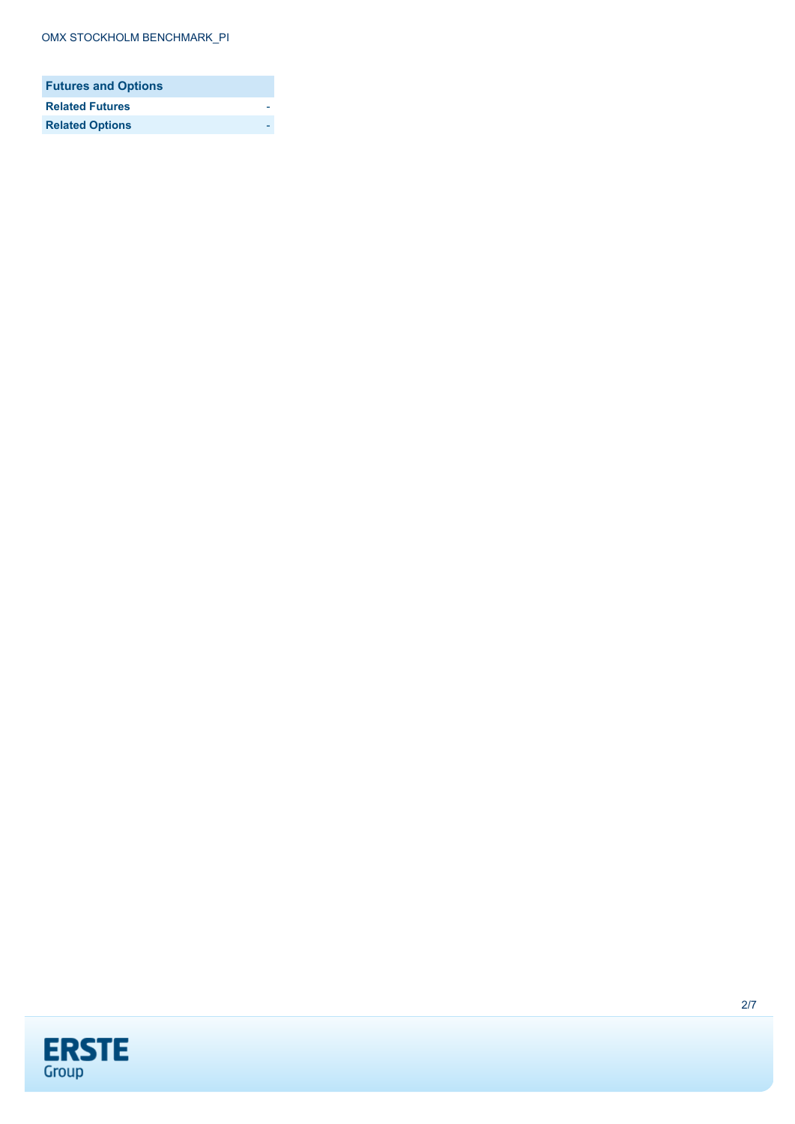| <b>Futures and Options</b> |  |
|----------------------------|--|
| <b>Related Futures</b>     |  |
| <b>Related Options</b>     |  |

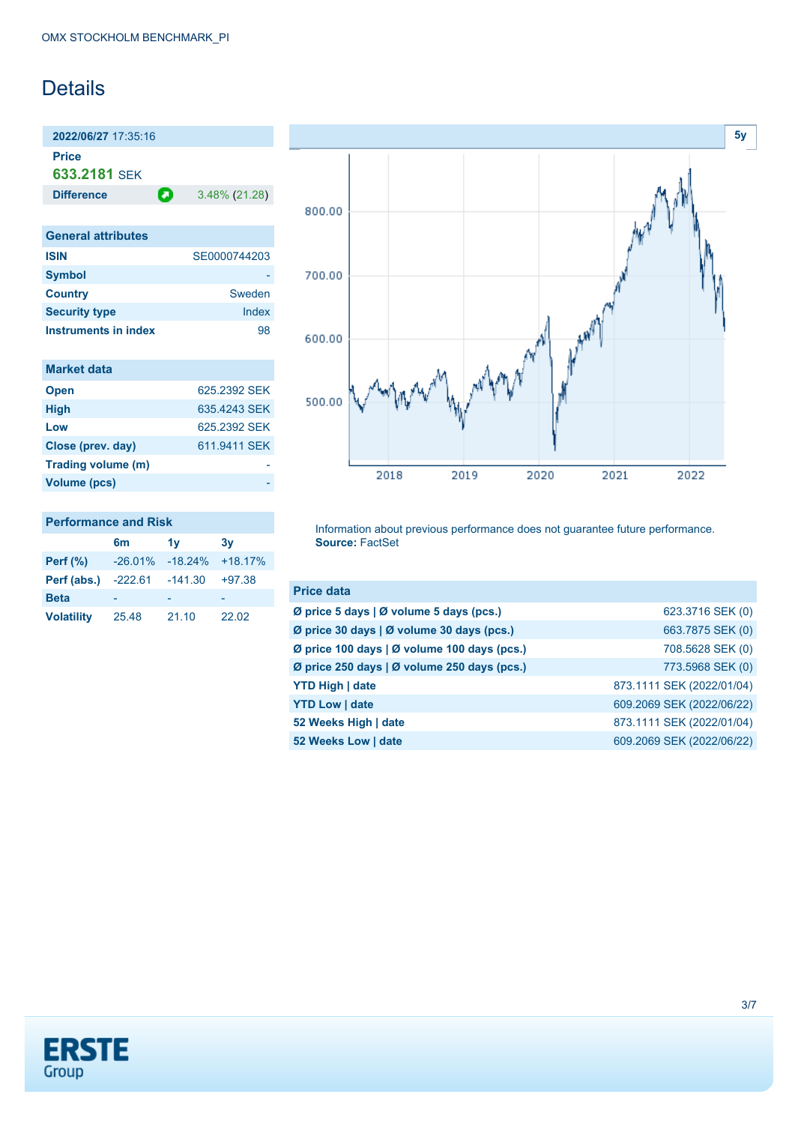## Details

**2022/06/27** 17:35:16 **Price**

**633.2181** SEK

**Difference** 3.48% (21.28)

| <b>General attributes</b> |              |
|---------------------------|--------------|
| <b>ISIN</b>               | SE0000744203 |
| <b>Symbol</b>             |              |
| <b>Country</b>            | Sweden       |
| <b>Security type</b>      | Index        |
| Instruments in index      | 98           |

| <b>Market data</b> |              |
|--------------------|--------------|
| <b>Open</b>        | 625.2392 SEK |
| <b>High</b>        | 635 4243 SFK |
| Low                | 625.2392 SEK |
| Close (prev. day)  | 611.9411 SEK |
| Trading volume (m) |              |
| Volume (pcs)       |              |

| <b>Performance and Risk</b> |  |
|-----------------------------|--|
|                             |  |

|                   | 6m        | 1v        | 3v        |
|-------------------|-----------|-----------|-----------|
| Perf $(\%)$       | $-26.01%$ | $-18.24%$ | $+18.17%$ |
| Perf (abs.)       | -222.61   | $-141.30$ | $+97.38$  |
| <b>Beta</b>       |           |           |           |
| <b>Volatility</b> | 25.48     | 21.10     | 22.02     |



Information about previous performance does not guarantee future performance. **Source:** FactSet

| <b>Price data</b>                           |                           |
|---------------------------------------------|---------------------------|
| Ø price 5 days   Ø volume 5 days (pcs.)     | 623.3716 SEK (0)          |
| Ø price 30 days   Ø volume 30 days (pcs.)   | 663.7875 SEK (0)          |
| Ø price 100 days   Ø volume 100 days (pcs.) | 708.5628 SEK (0)          |
| Ø price 250 days   Ø volume 250 days (pcs.) | 773.5968 SEK (0)          |
| <b>YTD High   date</b>                      | 873.1111 SEK (2022/01/04) |
| <b>YTD Low   date</b>                       | 609.2069 SEK (2022/06/22) |
| 52 Weeks High   date                        | 873.1111 SEK (2022/01/04) |
| 52 Weeks Low   date                         | 609.2069 SEK (2022/06/22) |

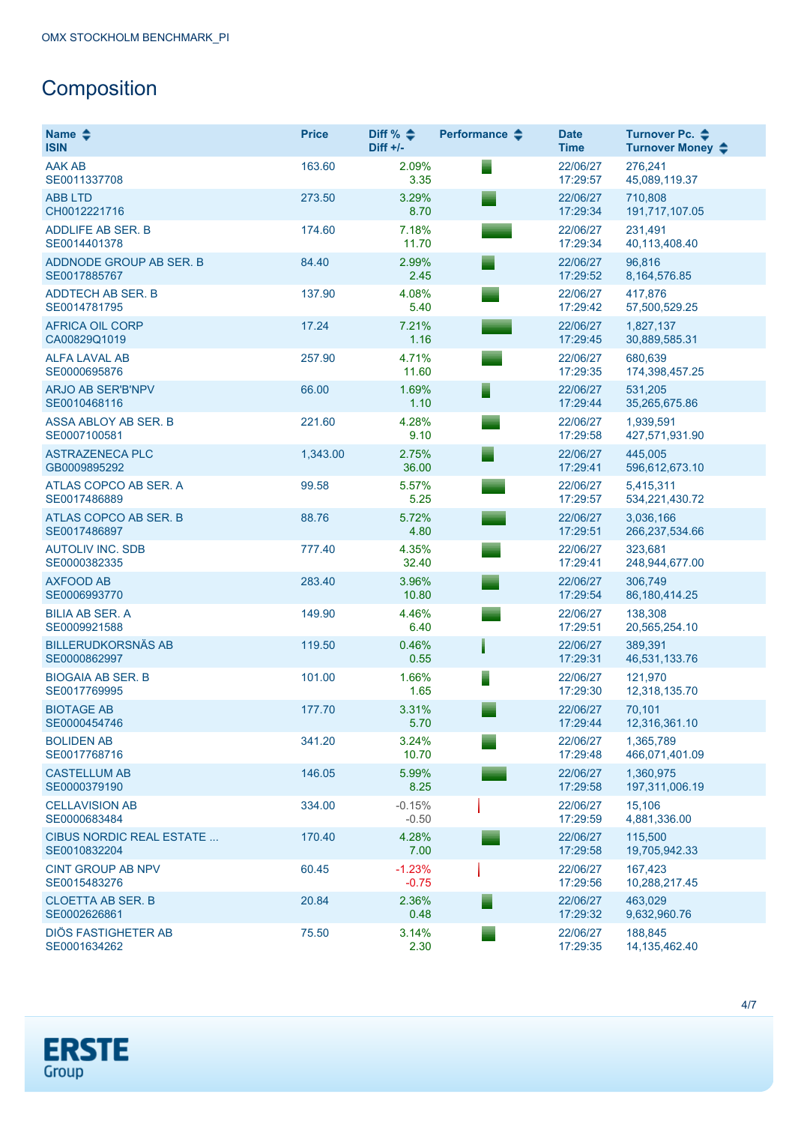# **Composition**

| Name $\clubsuit$<br><b>ISIN</b>           | <b>Price</b> | Diff % $\triangle$<br>Diff $+/-$ | Performance $\triangle$ | <b>Date</b><br><b>Time</b> | Turnover Pc. ♦<br>Turnover Money $\div$ |
|-------------------------------------------|--------------|----------------------------------|-------------------------|----------------------------|-----------------------------------------|
| <b>AAK AB</b><br>SE0011337708             | 163.60       | 2.09%<br>3.35                    |                         | 22/06/27<br>17:29:57       | 276,241<br>45,089,119.37                |
| <b>ABB LTD</b><br>CH0012221716            | 273.50       | 3.29%<br>8.70                    |                         | 22/06/27<br>17:29:34       | 710.808<br>191,717,107.05               |
| <b>ADDLIFE AB SER. B</b><br>SE0014401378  | 174.60       | 7.18%<br>11.70                   |                         | 22/06/27<br>17:29:34       | 231,491<br>40,113,408.40                |
| ADDNODE GROUP AB SER. B<br>SE0017885767   | 84.40        | 2.99%<br>2.45                    |                         | 22/06/27<br>17:29:52       | 96,816<br>8, 164, 576.85                |
| <b>ADDTECH AB SER. B</b><br>SE0014781795  | 137.90       | 4.08%<br>5.40                    |                         | 22/06/27<br>17:29:42       | 417.876<br>57,500,529.25                |
| <b>AFRICA OIL CORP</b><br>CA00829Q1019    | 17.24        | 7.21%<br>1.16                    |                         | 22/06/27<br>17:29:45       | 1,827,137<br>30,889,585.31              |
| <b>ALFA LAVAL AB</b><br>SE0000695876      | 257.90       | 4.71%<br>11.60                   |                         | 22/06/27<br>17:29:35       | 680,639<br>174,398,457.25               |
| <b>ARJO AB SER'B'NPV</b><br>SE0010468116  | 66.00        | 1.69%<br>1.10                    |                         | 22/06/27<br>17:29:44       | 531,205<br>35,265,675.86                |
| ASSA ABLOY AB SER. B<br>SE0007100581      | 221.60       | 4.28%<br>9.10                    |                         | 22/06/27<br>17:29:58       | 1,939,591<br>427,571,931.90             |
| <b>ASTRAZENECA PLC</b><br>GB0009895292    | 1,343.00     | 2.75%<br>36.00                   |                         | 22/06/27<br>17:29:41       | 445,005<br>596,612,673.10               |
| ATLAS COPCO AB SER. A<br>SE0017486889     | 99.58        | 5.57%<br>5.25                    |                         | 22/06/27<br>17:29:57       | 5,415,311<br>534,221,430.72             |
| ATLAS COPCO AB SER. B<br>SE0017486897     | 88.76        | 5.72%<br>4.80                    |                         | 22/06/27<br>17:29:51       | 3,036,166<br>266,237,534.66             |
| <b>AUTOLIV INC. SDB</b><br>SE0000382335   | 777.40       | 4.35%<br>32.40                   |                         | 22/06/27<br>17:29:41       | 323,681<br>248,944,677.00               |
| <b>AXFOOD AB</b><br>SE0006993770          | 283.40       | 3.96%<br>10.80                   |                         | 22/06/27<br>17:29:54       | 306,749<br>86, 180, 414. 25             |
| <b>BILIA AB SER. A</b><br>SE0009921588    | 149.90       | 4.46%<br>6.40                    |                         | 22/06/27<br>17:29:51       | 138,308<br>20,565,254.10                |
| <b>BILLERUDKORSNÄS AB</b><br>SE0000862997 | 119.50       | 0.46%<br>0.55                    |                         | 22/06/27<br>17:29:31       | 389,391<br>46,531,133.76                |
| <b>BIOGAIA AB SER. B</b><br>SE0017769995  | 101.00       | 1.66%<br>1.65                    |                         | 22/06/27<br>17:29:30       | 121,970<br>12,318,135.70                |
| <b>BIOTAGE AB</b><br>SE0000454746         | 177.70       | 3.31%<br>5.70                    |                         | 22/06/27<br>17:29:44       | 70,101<br>12,316,361.10                 |
| <b>BOLIDEN AB</b><br>SE0017768716         | 341.20       | 3.24%<br>10.70                   |                         | 22/06/27<br>17:29:48       | 1,365,789<br>466,071,401.09             |
| <b>CASTELLUM AB</b><br>SE0000379190       | 146.05       | 5.99%<br>8.25                    |                         | 22/06/27<br>17:29:58       | 1,360,975<br>197,311,006.19             |
| <b>CELLAVISION AB</b><br>SE0000683484     | 334.00       | $-0.15%$<br>$-0.50$              |                         | 22/06/27<br>17:29:59       | 15,106<br>4,881,336.00                  |
| CIBUS NORDIC REAL ESTATE<br>SE0010832204  | 170.40       | 4.28%<br>7.00                    |                         | 22/06/27<br>17:29:58       | 115,500<br>19,705,942.33                |
| <b>CINT GROUP AB NPV</b><br>SE0015483276  | 60.45        | $-1.23%$<br>$-0.75$              |                         | 22/06/27<br>17:29:56       | 167,423<br>10,288,217.45                |
| <b>CLOETTA AB SER. B</b><br>SE0002626861  | 20.84        | 2.36%<br>0.48                    |                         | 22/06/27<br>17:29:32       | 463,029<br>9,632,960.76                 |
| DIÖS FASTIGHETER AB<br>SE0001634262       | 75.50        | 3.14%<br>2.30                    |                         | 22/06/27<br>17:29:35       | 188,845<br>14, 135, 462. 40             |

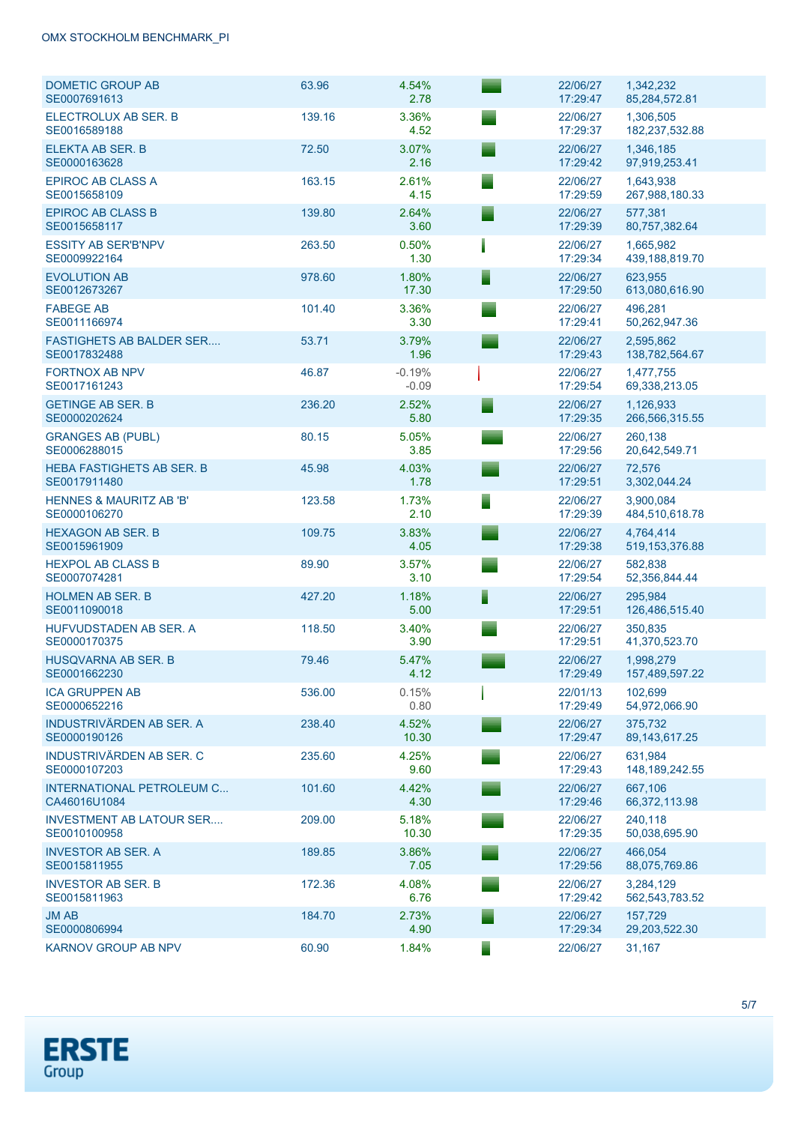| <b>DOMETIC GROUP AB</b><br>SE0007691613            | 63.96  | 4.54%<br>2.78       |   | 22/06/27<br>17:29:47 | 1,342,232<br>85,284,572.81     |
|----------------------------------------------------|--------|---------------------|---|----------------------|--------------------------------|
| ELECTROLUX AB SER. B<br>SE0016589188               | 139.16 | 3.36%<br>4.52       |   | 22/06/27<br>17:29:37 | 1,306,505<br>182,237,532.88    |
| ELEKTA AB SER. B<br>SE0000163628                   | 72.50  | 3.07%<br>2.16       |   | 22/06/27<br>17:29:42 | 1,346,185<br>97,919,253.41     |
| <b>EPIROC AB CLASS A</b><br>SE0015658109           | 163.15 | 2.61%<br>4.15       |   | 22/06/27<br>17:29:59 | 1,643,938<br>267,988,180.33    |
| <b>EPIROC AB CLASS B</b><br>SE0015658117           | 139.80 | 2.64%<br>3.60       |   | 22/06/27<br>17:29:39 | 577,381<br>80,757,382.64       |
| <b>ESSITY AB SER'B'NPV</b><br>SE0009922164         | 263.50 | 0.50%<br>1.30       |   | 22/06/27<br>17:29:34 | 1,665,982<br>439,188,819.70    |
| <b>EVOLUTION AB</b><br>SE0012673267                | 978.60 | 1.80%<br>17.30      |   | 22/06/27<br>17:29:50 | 623,955<br>613,080,616.90      |
| <b>FABEGE AB</b><br>SE0011166974                   | 101.40 | 3.36%<br>3.30       |   | 22/06/27<br>17:29:41 | 496,281<br>50,262,947.36       |
| <b>FASTIGHETS AB BALDER SER</b><br>SE0017832488    | 53.71  | 3.79%<br>1.96       |   | 22/06/27<br>17:29:43 | 2,595,862<br>138,782,564.67    |
| <b>FORTNOX AB NPV</b><br>SE0017161243              | 46.87  | $-0.19%$<br>$-0.09$ |   | 22/06/27<br>17:29:54 | 1,477,755<br>69,338,213.05     |
| <b>GETINGE AB SER. B</b><br>SE0000202624           | 236.20 | 2.52%<br>5.80       |   | 22/06/27<br>17:29:35 | 1,126,933<br>266,566,315.55    |
| <b>GRANGES AB (PUBL)</b><br>SE0006288015           | 80.15  | 5.05%<br>3.85       |   | 22/06/27<br>17:29:56 | 260,138<br>20,642,549.71       |
| <b>HEBA FASTIGHETS AB SER. B</b><br>SE0017911480   | 45.98  | 4.03%<br>1.78       |   | 22/06/27<br>17:29:51 | 72,576<br>3,302,044.24         |
| <b>HENNES &amp; MAURITZ AB 'B'</b><br>SE0000106270 | 123.58 | 1.73%<br>2.10       |   | 22/06/27<br>17:29:39 | 3,900,084<br>484,510,618.78    |
| <b>HEXAGON AB SER. B</b><br>SE0015961909           | 109.75 | 3.83%<br>4.05       |   | 22/06/27<br>17:29:38 | 4,764,414<br>519, 153, 376.88  |
| <b>HEXPOL AB CLASS B</b><br>SE0007074281           | 89.90  | 3.57%<br>3.10       |   | 22/06/27<br>17:29:54 | 582,838<br>52,356,844.44       |
| <b>HOLMEN AB SER. B</b><br>SE0011090018            | 427.20 | 1.18%<br>5.00       | I | 22/06/27<br>17:29:51 | 295,984<br>126,486,515.40      |
| HUFVUDSTADEN AB SER. A<br>SE0000170375             | 118.50 | 3.40%<br>3.90       |   | 22/06/27<br>17:29:51 | 350,835<br>41,370,523.70       |
| <b>HUSQVARNA AB SER. B</b><br>SE0001662230         | 79.46  | 5.47%<br>4.12       |   | 22/06/27<br>17:29:49 | 1,998,279<br>157,489,597.22    |
| <b>ICA GRUPPEN AB</b><br>SE0000652216              | 536.00 | 0.15%<br>0.80       |   | 22/01/13<br>17:29:49 | 102.699<br>54,972,066.90       |
| INDUSTRIVÄRDEN AB SER. A<br>SE0000190126           | 238.40 | 4.52%<br>10.30      |   | 22/06/27<br>17:29:47 | 375,732<br>89, 143, 617. 25    |
| <b>INDUSTRIVÄRDEN AB SER. C</b><br>SE0000107203    | 235.60 | 4.25%<br>9.60       |   | 22/06/27<br>17:29:43 | 631,984<br>148, 189, 242.55    |
| INTERNATIONAL PETROLEUM C<br>CA46016U1084          | 101.60 | 4.42%<br>4.30       |   | 22/06/27<br>17:29:46 | 667.106<br>66,372,113.98       |
| <b>INVESTMENT AB LATOUR SER</b><br>SE0010100958    | 209.00 | 5.18%<br>10.30      |   | 22/06/27<br>17:29:35 | 240,118<br>50,038,695.90       |
| <b>INVESTOR AB SER. A</b><br>SE0015811955          | 189.85 | 3.86%<br>7.05       |   | 22/06/27<br>17:29:56 | 466,054<br>88,075,769.86       |
| <b>INVESTOR AB SER. B</b><br>SE0015811963          | 172.36 | 4.08%<br>6.76       |   | 22/06/27<br>17:29:42 | 3,284,129<br>562, 543, 783. 52 |
| <b>JM AB</b><br>SE0000806994                       | 184.70 | 2.73%<br>4.90       |   | 22/06/27<br>17:29:34 | 157,729<br>29,203,522.30       |
| KARNOV GROUP AB NPV                                | 60.90  | 1.84%               |   | 22/06/27             | 31,167                         |

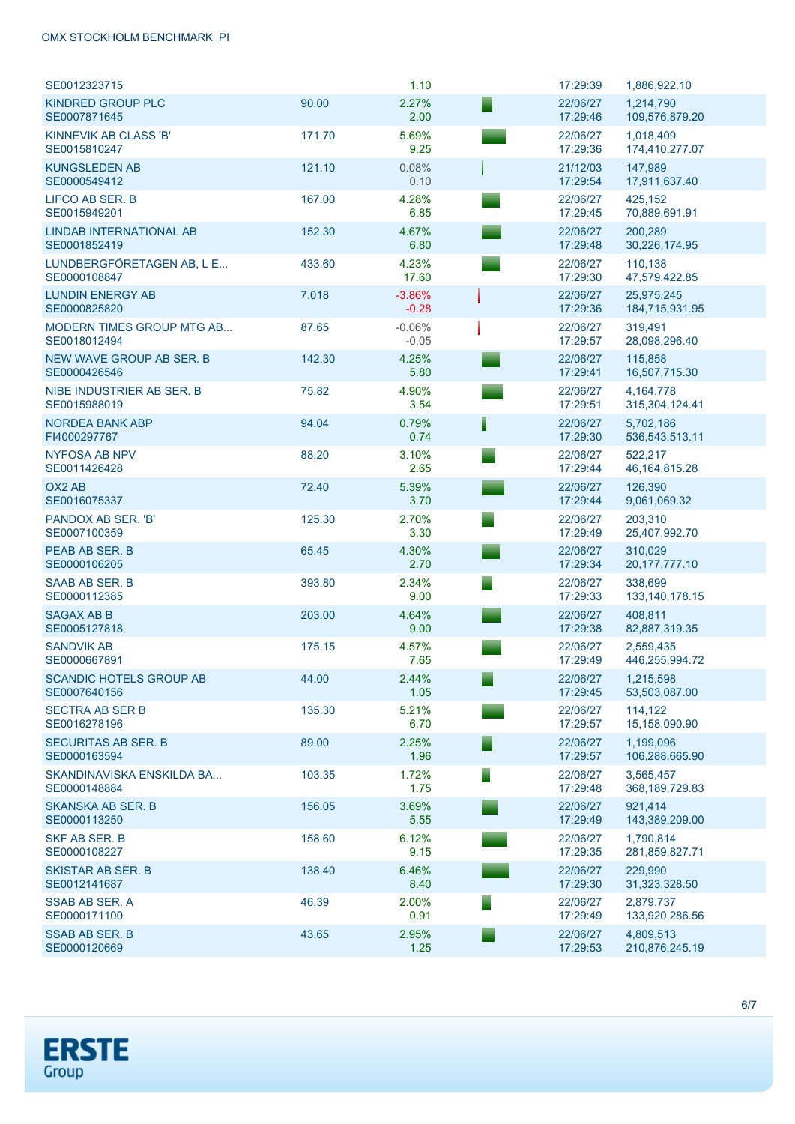### OMX STOCKHOLM BENCHMARK\_PI

| SE0012323715                                     |        | 1.10                | 17:29:39             | 1,886,922.10                  |
|--------------------------------------------------|--------|---------------------|----------------------|-------------------------------|
| <b>KINDRED GROUP PLC</b><br>SE0007871645         | 90.00  | 2.27%<br>2.00       | 22/06/27<br>17:29:46 | 1,214,790<br>109,576,879.20   |
| KINNEVIK AB CLASS 'B'<br>SE0015810247            | 171.70 | 5.69%<br>9.25       | 22/06/27<br>17:29:36 | 1,018,409<br>174,410,277.07   |
| <b>KUNGSLEDEN AB</b><br>SE0000549412             | 121.10 | 0.08%<br>0.10       | 21/12/03<br>17:29:54 | 147,989<br>17,911,637.40      |
| LIFCO AB SER. B<br>SE0015949201                  | 167.00 | 4.28%<br>6.85       | 22/06/27<br>17:29:45 | 425,152<br>70,889,691.91      |
| <b>LINDAB INTERNATIONAL AB</b><br>SE0001852419   | 152.30 | 4.67%<br>6.80       | 22/06/27<br>17:29:48 | 200.289<br>30,226,174.95      |
| LUNDBERGFÖRETAGEN AB, L E<br>SE0000108847        | 433.60 | 4.23%<br>17.60      | 22/06/27<br>17:29:30 | 110,138<br>47,579,422.85      |
| <b>LUNDIN ENERGY AB</b><br>SE0000825820          | 7.018  | $-3.86%$<br>$-0.28$ | 22/06/27<br>17:29:36 | 25,975,245<br>184,715,931.95  |
| <b>MODERN TIMES GROUP MTG AB</b><br>SE0018012494 | 87.65  | $-0.06%$<br>$-0.05$ | 22/06/27<br>17:29:57 | 319,491<br>28,098,296.40      |
| <b>NEW WAVE GROUP AB SER. B</b><br>SE0000426546  | 142.30 | 4.25%<br>5.80       | 22/06/27<br>17:29:41 | 115,858<br>16,507,715.30      |
| NIBE INDUSTRIER AB SER. B<br>SE0015988019        | 75.82  | 4.90%<br>3.54       | 22/06/27<br>17:29:51 | 4.164.778<br>315,304,124.41   |
| <b>NORDEA BANK ABP</b><br>FI4000297767           | 94.04  | 0.79%<br>0.74       | 22/06/27<br>17:29:30 | 5.702.186<br>536,543,513.11   |
| NYFOSA AB NPV<br>SE0011426428                    | 88.20  | 3.10%<br>2.65       | 22/06/27<br>17:29:44 | 522,217<br>46, 164, 815. 28   |
| OX <sub>2</sub> A <sub>B</sub><br>SE0016075337   | 72.40  | 5.39%<br>3.70       | 22/06/27<br>17:29:44 | 126,390<br>9,061,069.32       |
| PANDOX AB SER. 'B'<br>SE0007100359               | 125.30 | 2.70%<br>3.30       | 22/06/27<br>17:29:49 | 203,310<br>25,407,992.70      |
| PEAB AB SER. B<br>SE0000106205                   | 65.45  | 4.30%<br>2.70       | 22/06/27<br>17:29:34 | 310,029<br>20, 177, 777. 10   |
| SAAB AB SER. B<br>SE0000112385                   | 393.80 | 2.34%<br>9.00       | 22/06/27<br>17:29:33 | 338,699<br>133, 140, 178. 15  |
| <b>SAGAX AB B</b><br>SE0005127818                | 203.00 | 4.64%<br>9.00       | 22/06/27<br>17:29:38 | 408.811<br>82,887,319.35      |
| <b>SANDVIK AB</b><br>SE0000667891                | 175.15 | 4.57%<br>7.65       | 22/06/27<br>17:29:49 | 2,559,435<br>446,255,994.72   |
| <b>SCANDIC HOTELS GROUP AB</b><br>SE0007640156   | 44.00  | 2.44%<br>1.05       | 22/06/27<br>17:29:45 | 1,215,598<br>53,503,087.00    |
| <b>SECTRA AB SER B</b><br>SE0016278196           | 135.30 | 5.21%<br>6.70       | 22/06/27<br>17:29:57 | 114,122<br>15,158,090.90      |
| <b>SECURITAS AB SER. B</b><br>SE0000163594       | 89.00  | 2.25%<br>1.96       | 22/06/27<br>17:29:57 | 1,199,096<br>106,288,665.90   |
| SKANDINAVISKA ENSKILDA BA<br>SE0000148884        | 103.35 | 1.72%<br>1.75       | 22/06/27<br>17:29:48 | 3,565,457<br>368, 189, 729.83 |
| SKANSKA AB SER. B<br>SE0000113250                | 156.05 | 3.69%<br>5.55       | 22/06/27<br>17:29:49 | 921,414<br>143,389,209.00     |
| SKF AB SER. B<br>SE0000108227                    | 158.60 | 6.12%<br>9.15       | 22/06/27<br>17:29:35 | 1,790,814<br>281,859,827.71   |
| SKISTAR AB SER. B<br>SE0012141687                | 138.40 | 6.46%<br>8.40       | 22/06/27<br>17:29:30 | 229,990<br>31,323,328.50      |
| SSAB AB SER. A<br>SE0000171100                   | 46.39  | 2.00%<br>0.91       | 22/06/27<br>17:29:49 | 2,879,737<br>133,920,286.56   |
| <b>SSAB AB SER. B</b><br>SE0000120669            | 43.65  | 2.95%<br>1.25       | 22/06/27<br>17:29:53 | 4,809,513<br>210,876,245.19   |